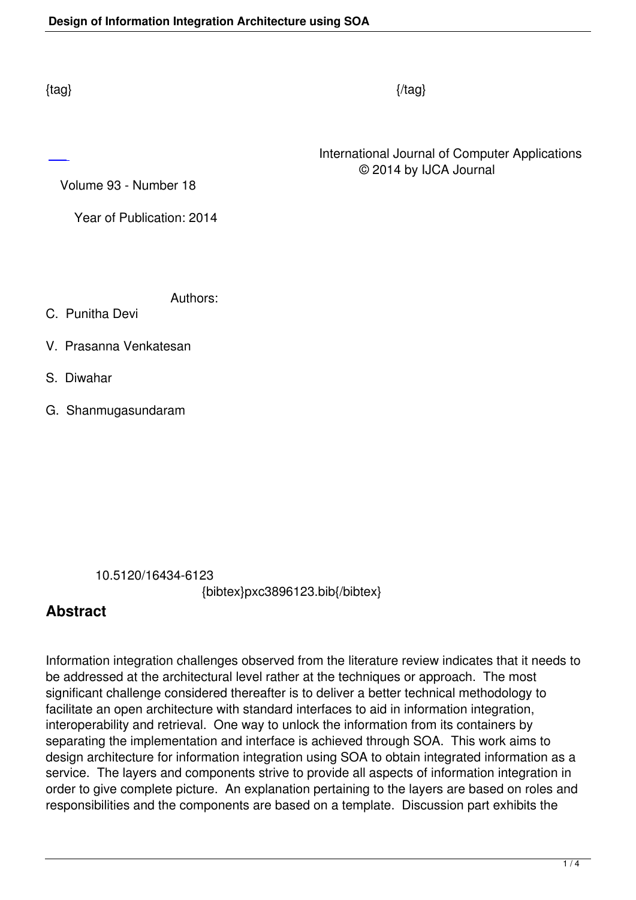International Journal of Computer Applications © 2014 by IJCA Journal

Volume 93 - Number 18

Year of Publication: 2014

Authors:

C. Punitha Devi

- V. Prasanna Venkatesan
- S. Diwahar
- G. Shanmugasundaram

10.5120/16434-6123

{bibtex}pxc3896123.bib{/bibtex}

## **Abstract**

Information integration challenges observed from the literature review indicates that it needs to be addressed at the architectural level rather at the techniques or approach. The most significant challenge considered thereafter is to deliver a better technical methodology to facilitate an open architecture with standard interfaces to aid in information integration, interoperability and retrieval. One way to unlock the information from its containers by separating the implementation and interface is achieved through SOA. This work aims to design architecture for information integration using SOA to obtain integrated information as a service. The layers and components strive to provide all aspects of information integration in order to give complete picture. An explanation pertaining to the layers are based on roles and responsibilities and the components are based on a template. Discussion part exhibits the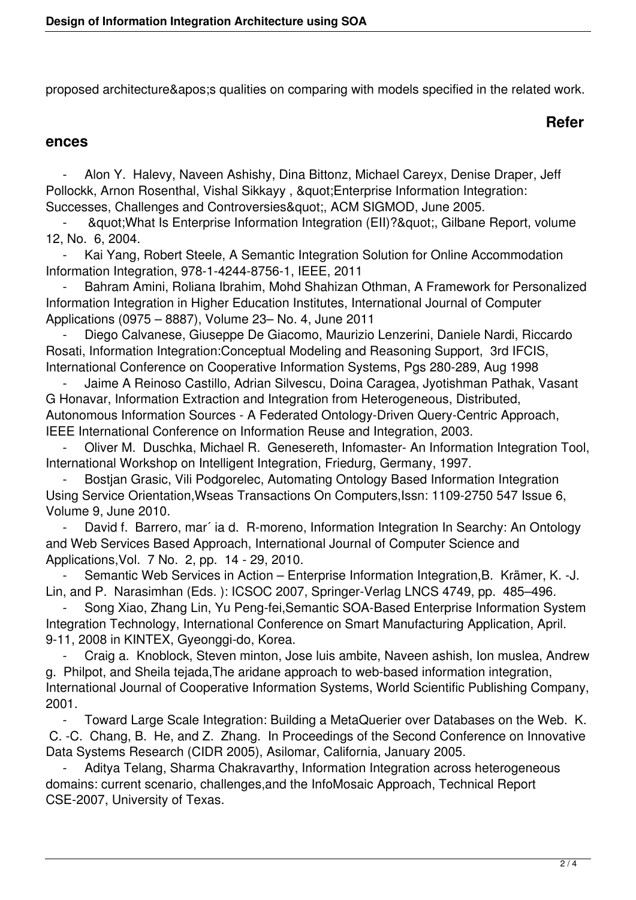proposed architecture&apos: squalities on comparing with models specified in the related work.

## **Refer**

## **ences**

Alon Y. Halevy, Naveen Ashishy, Dina Bittonz, Michael Careyx, Denise Draper, Jeff Pollockk, Arnon Rosenthal, Vishal Sikkayy, " Enterprise Information Integration: Successes, Challenges and Controversies", ACM SIGMOD, June 2005.

" What Is Enterprise Information Integration (EII)? & quot;, Gilbane Report, volume 12, No. 6, 2004.

Kai Yang, Robert Steele, A Semantic Integration Solution for Online Accommodation Information Integration, 978-1-4244-8756-1, IEEE, 2011

Bahram Amini, Roliana Ibrahim, Mohd Shahizan Othman, A Framework for Personalized Information Integration in Higher Education Institutes, International Journal of Computer Applications (0975 – 8887), Volume 23– No. 4, June 2011

 - Diego Calvanese, Giuseppe De Giacomo, Maurizio Lenzerini, Daniele Nardi, Riccardo Rosati, Information Integration:Conceptual Modeling and Reasoning Support, 3rd IFCIS, International Conference on Cooperative Information Systems, Pgs 280-289, Aug 1998

 - Jaime A Reinoso Castillo, Adrian Silvescu, Doina Caragea, Jyotishman Pathak, Vasant G Honavar, Information Extraction and Integration from Heterogeneous, Distributed, Autonomous Information Sources - A Federated Ontology-Driven Query-Centric Approach, IEEE International Conference on Information Reuse and Integration, 2003.

 - Oliver M. Duschka, Michael R. Genesereth, Infomaster- An Information Integration Tool, International Workshop on Intelligent Integration, Friedurg, Germany, 1997.

Bostian Grasic, Vili Podgorelec, Automating Ontology Based Information Integration Using Service Orientation,Wseas Transactions On Computers,Issn: 1109-2750 547 Issue 6, Volume 9, June 2010.

David f. Barrero, mar' ia d. R-moreno, Information Integration In Searchy: An Ontology and Web Services Based Approach, International Journal of Computer Science and Applications,Vol. 7 No. 2, pp. 14 - 29, 2010.

Semantic Web Services in Action – Enterprise Information Integration, B. Krämer, K. -J. Lin, and P. Narasimhan (Eds. ): ICSOC 2007, Springer-Verlag LNCS 4749, pp. 485–496.

 - Song Xiao, Zhang Lin, Yu Peng-fei,Semantic SOA-Based Enterprise Information System Integration Technology, International Conference on Smart Manufacturing Application, April. 9-11, 2008 in KINTEX, Gyeonggi-do, Korea.

 - Craig a. Knoblock, Steven minton, Jose luis ambite, Naveen ashish, Ion muslea, Andrew g. Philpot, and Sheila tejada,The aridane approach to web-based information integration, International Journal of Cooperative Information Systems, World Scientific Publishing Company, 2001.

 - Toward Large Scale Integration: Building a MetaQuerier over Databases on the Web. K. C. -C. Chang, B. He, and Z. Zhang. In Proceedings of the Second Conference on Innovative Data Systems Research (CIDR 2005), Asilomar, California, January 2005.

Aditya Telang, Sharma Chakravarthy, Information Integration across heterogeneous domains: current scenario, challenges,and the InfoMosaic Approach, Technical Report CSE-2007, University of Texas.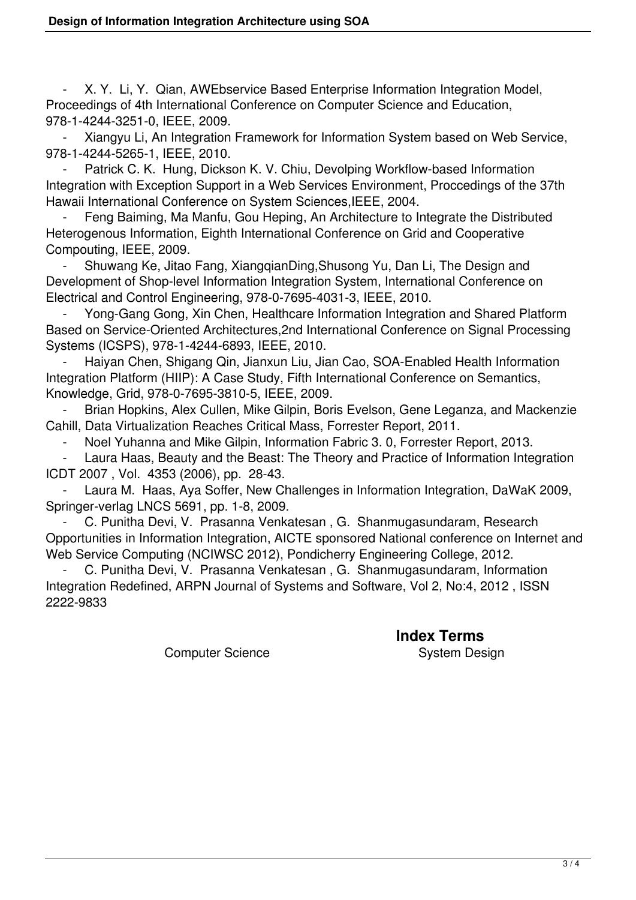- X. Y. Li, Y. Qian, AWEbservice Based Enterprise Information Integration Model, Proceedings of 4th International Conference on Computer Science and Education, 978-1-4244-3251-0, IEEE, 2009.

 - Xiangyu Li, An Integration Framework for Information System based on Web Service, 978-1-4244-5265-1, IEEE, 2010.

Patrick C. K. Hung, Dickson K. V. Chiu, Devolping Workflow-based Information Integration with Exception Support in a Web Services Environment, Proccedings of the 37th Hawaii International Conference on System Sciences,IEEE, 2004.

 - Feng Baiming, Ma Manfu, Gou Heping, An Architecture to Integrate the Distributed Heterogenous Information, Eighth International Conference on Grid and Cooperative Compouting, IEEE, 2009.

 - Shuwang Ke, Jitao Fang, XiangqianDing,Shusong Yu, Dan Li, The Design and Development of Shop-level Information Integration System, International Conference on Electrical and Control Engineering, 978-0-7695-4031-3, IEEE, 2010.

 - Yong-Gang Gong, Xin Chen, Healthcare Information Integration and Shared Platform Based on Service-Oriented Architectures,2nd International Conference on Signal Processing Systems (ICSPS), 978-1-4244-6893, IEEE, 2010.

 - Haiyan Chen, Shigang Qin, Jianxun Liu, Jian Cao, SOA-Enabled Health Information Integration Platform (HIIP): A Case Study, Fifth International Conference on Semantics, Knowledge, Grid, 978-0-7695-3810-5, IEEE, 2009.

Brian Hopkins, Alex Cullen, Mike Gilpin, Boris Evelson, Gene Leganza, and Mackenzie Cahill, Data Virtualization Reaches Critical Mass, Forrester Report, 2011.

- Noel Yuhanna and Mike Gilpin, Information Fabric 3. 0, Forrester Report, 2013.

Laura Haas, Beauty and the Beast: The Theory and Practice of Information Integration ICDT 2007 , Vol. 4353 (2006), pp. 28-43.

Laura M. Haas, Aya Soffer, New Challenges in Information Integration, DaWaK 2009, Springer-verlag LNCS 5691, pp. 1-8, 2009.

 - C. Punitha Devi, V. Prasanna Venkatesan , G. Shanmugasundaram, Research Opportunities in Information Integration, AICTE sponsored National conference on Internet and Web Service Computing (NCIWSC 2012), Pondicherry Engineering College, 2012.

 - C. Punitha Devi, V. Prasanna Venkatesan , G. Shanmugasundaram, Information Integration Redefined, ARPN Journal of Systems and Software, Vol 2, No:4, 2012 , ISSN 2222-9833

Computer Science System Design

**Index Terms**